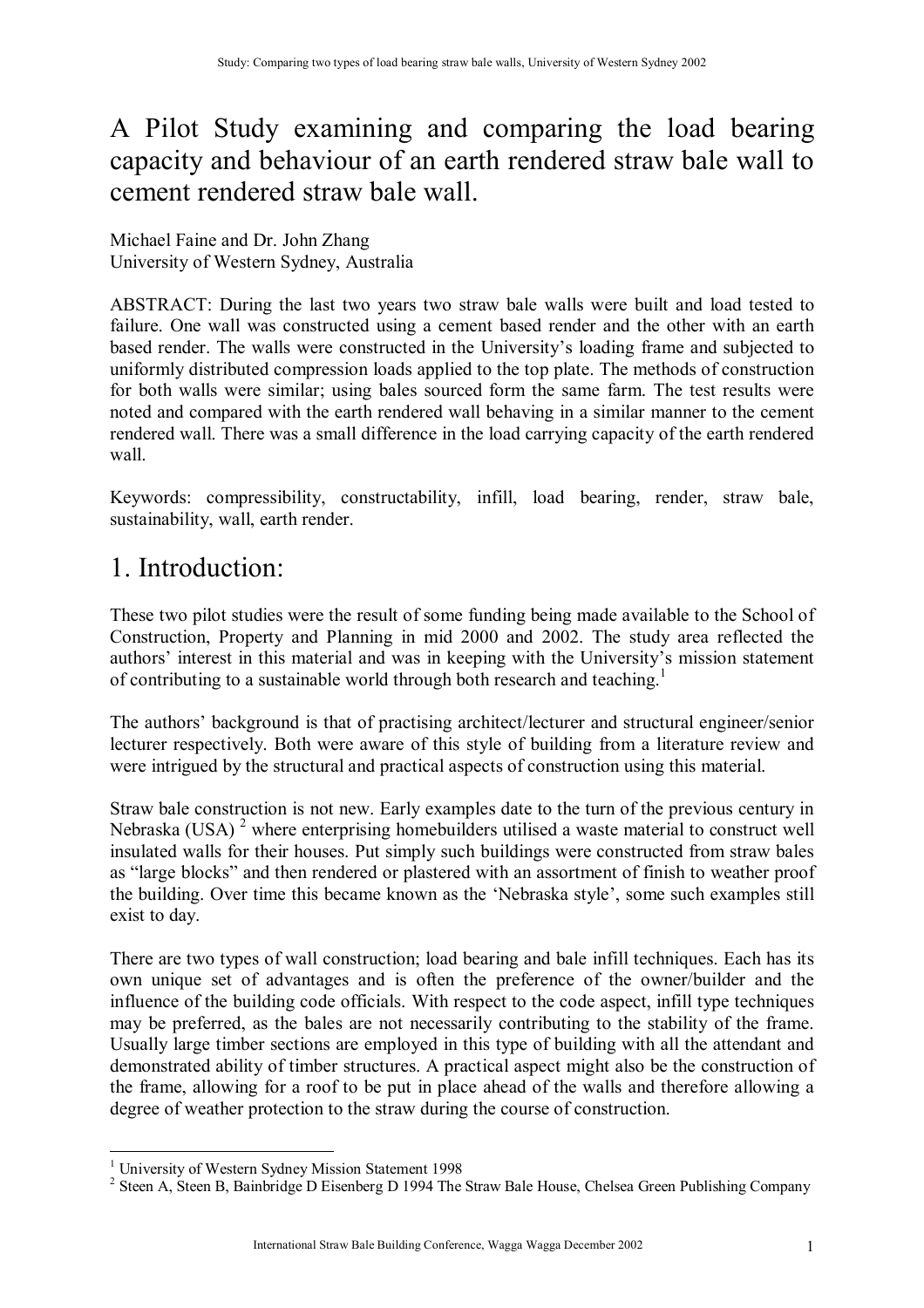## A Pilot Study examining and comparing the load bearing capacity and behaviour of an earth rendered straw bale wall to cement rendered straw bale wall.

Michael Faine and Dr. John Zhang University of Western Sydney, Australia

ABSTRACT: During the last two years two straw bale walls were built and load tested to failure. One wall was constructed using a cement based render and the other with an earth based render. The walls were constructed in the University's loading frame and subjected to uniformly distributed compression loads applied to the top plate. The methods of construction for both walls were similar; using bales sourced form the same farm. The test results were noted and compared with the earth rendered wall behaving in a similar manner to the cement rendered wall. There was a small difference in the load carrying capacity of the earth rendered wall.

Keywords: compressibility, constructability, infill, load bearing, render, straw bale, sustainability, wall, earth render.

# 1. Introduction:

These two pilot studies were the result of some funding being made available to the School of Construction, Property and Planning in mid 2000 and 2002. The study area reflected the authors' interest in this material and was in keeping with the University's mission statement of contributing to a sustainable world through both research and teaching.<sup>1</sup>

The authors' background is that of practising architect/lecturer and structural engineer/senior lecturer respectively. Both were aware of this style of building from a literature review and were intrigued by the structural and practical aspects of construction using this material.

Straw bale construction is not new. Early examples date to the turn of the previous century in Nebraska (USA) $<sup>2</sup>$  where enterprising homebuilders utilised a waste material to construct well</sup> insulated walls for their houses. Put simply such buildings were constructed from straw bales as "large blocks" and then rendered or plastered with an assortment of finish to weather proof the building. Over time this became known as the 'Nebraska style', some such examples still exist to day.

There are two types of wall construction; load bearing and bale infill techniques. Each has its own unique set of advantages and is often the preference of the owner/builder and the influence of the building code officials. With respect to the code aspect, infill type techniques may be preferred, as the bales are not necessarily contributing to the stability of the frame. Usually large timber sections are employed in this type of building with all the attendant and demonstrated ability of timber structures. A practical aspect might also be the construction of the frame, allowing for a roof to be put in place ahead of the walls and therefore allowing a degree of weather protection to the straw during the course of construction.

 $\overline{a}$ <sup>1</sup> University of Western Sydney Mission Statement 1998

<sup>&</sup>lt;sup>2</sup> Steen A, Steen B, Bainbridge D Eisenberg D 1994 The Straw Bale House, Chelsea Green Publishing Company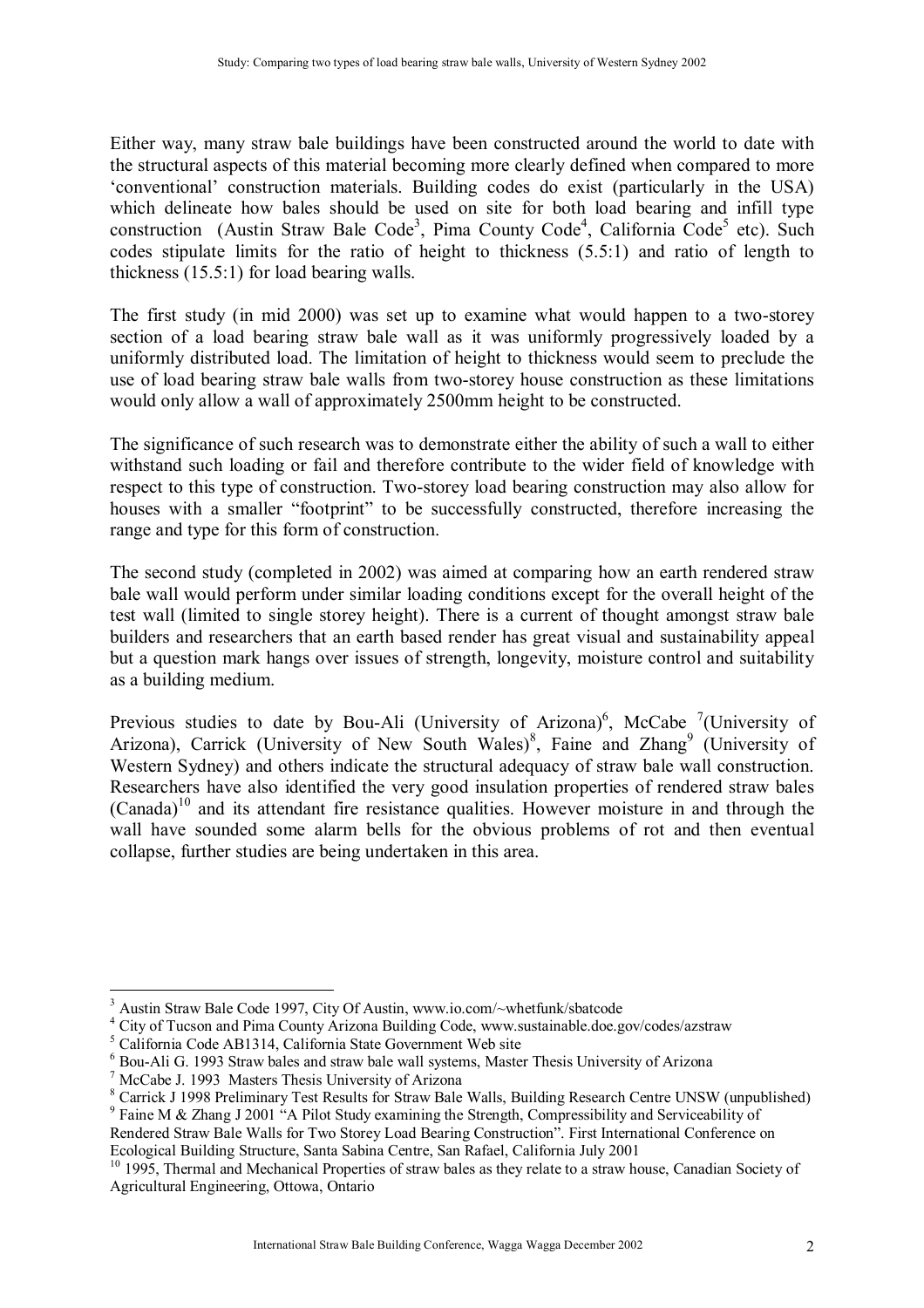Either way, many straw bale buildings have been constructed around the world to date with the structural aspects of this material becoming more clearly defined when compared to more ëconventionalí construction materials. Building codes do exist (particularly in the USA) which delineate how bales should be used on site for both load bearing and infill type construction (Austin Straw Bale Code<sup>3</sup>, Pima County Code<sup>4</sup>, California Code<sup>5</sup> etc). Such codes stipulate limits for the ratio of height to thickness (5.5:1) and ratio of length to thickness (15.5:1) for load bearing walls.

The first study (in mid 2000) was set up to examine what would happen to a two-storey section of a load bearing straw bale wall as it was uniformly progressively loaded by a uniformly distributed load. The limitation of height to thickness would seem to preclude the use of load bearing straw bale walls from two-storey house construction as these limitations would only allow a wall of approximately 2500mm height to be constructed.

The significance of such research was to demonstrate either the ability of such a wall to either withstand such loading or fail and therefore contribute to the wider field of knowledge with respect to this type of construction. Two-storey load bearing construction may also allow for houses with a smaller "footprint" to be successfully constructed, therefore increasing the range and type for this form of construction.

The second study (completed in 2002) was aimed at comparing how an earth rendered straw bale wall would perform under similar loading conditions except for the overall height of the test wall (limited to single storey height). There is a current of thought amongst straw bale builders and researchers that an earth based render has great visual and sustainability appeal but a question mark hangs over issues of strength, longevity, moisture control and suitability as a building medium.

Previous studies to date by Bou-Ali (University of Arizona)<sup>6</sup>, McCabe <sup>7</sup>(University of Arizona), Carrick (University of New South Wales)<sup>8</sup>, Faine and Zhang<sup>9</sup> (University of Western Sydney) and others indicate the structural adequacy of straw bale wall construction. Researchers have also identified the very good insulation properties of rendered straw bales  $(Canada)^{10}$  and its attendant fire resistance qualities. However moisture in and through the wall have sounded some alarm bells for the obvious problems of rot and then eventual collapse, further studies are being undertaken in this area.

 $\overline{a}$ <sup>3</sup> Austin Straw Bale Code 1997, City Of Austin, www.io.com/~whetfunk/sbatcode

<sup>&</sup>lt;sup>4</sup> City of Tucson and Pima County Arizona Building Code, www.sustainable.doe.gov/codes/azstraw

<sup>5</sup> California Code AB1314, California State Government Web site

<sup>&</sup>lt;sup>6</sup> Bou-Ali G. 1993 Straw bales and straw bale wall systems, Master Thesis University of Arizona

<sup>7</sup> McCabe J. 1993 Masters Thesis University of Arizona

<sup>&</sup>lt;sup>8</sup> Carrick J 1998 Preliminary Test Results for Straw Bale Walls, Building Research Centre UNSW (unpublished)

<sup>&</sup>lt;sup>9</sup> Faine M & Zhang J 2001 "A Pilot Study examining the Strength, Compressibility and Serviceability of Rendered Straw Bale Walls for Two Storey Load Bearing Constructionî. First International Conference on Ecological Building Structure, Santa Sabina Centre, San Rafael, California July 2001

<sup>&</sup>lt;sup>10</sup> 1995, Thermal and Mechanical Properties of straw bales as they relate to a straw house, Canadian Society of Agricultural Engineering, Ottowa, Ontario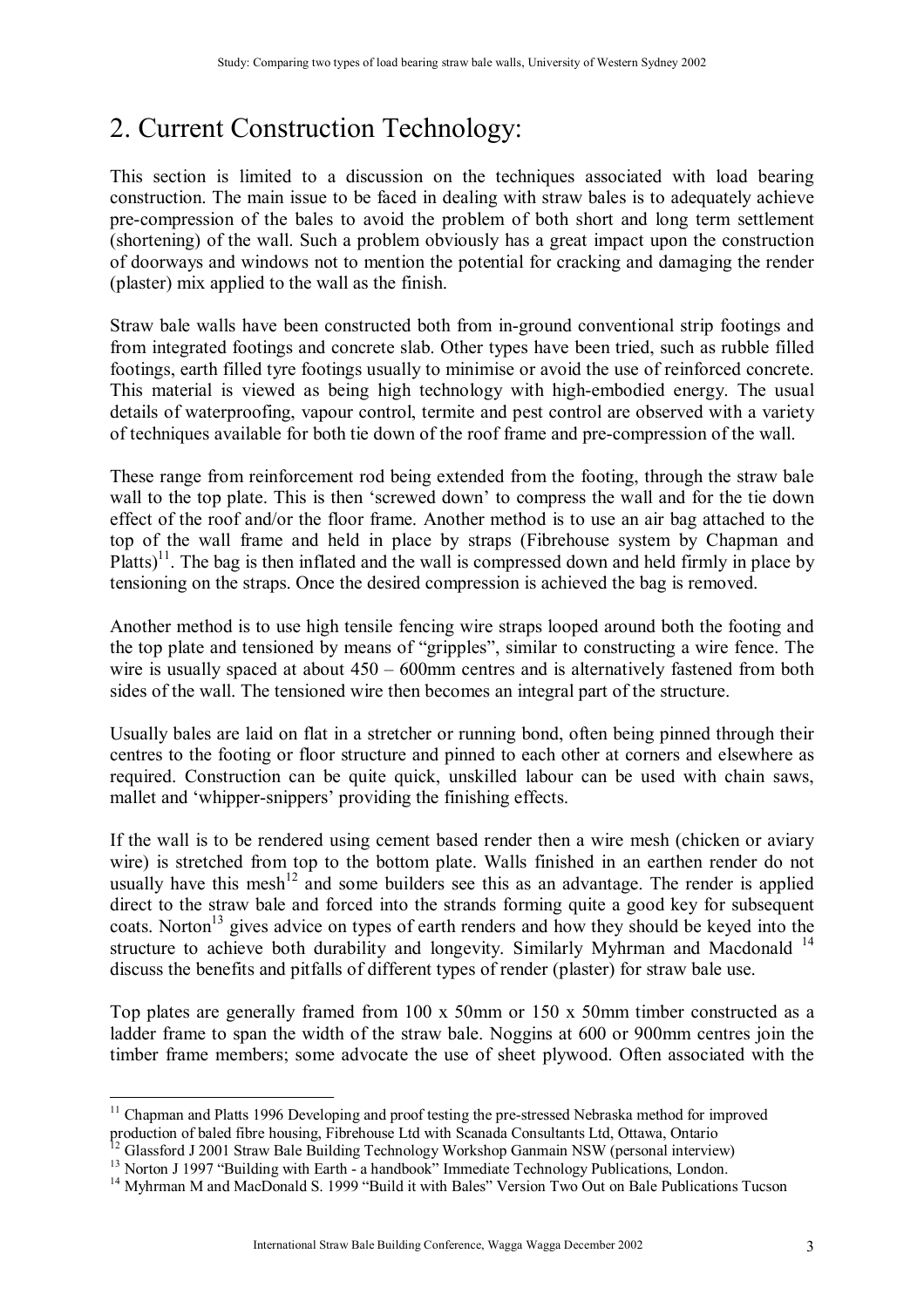# 2. Current Construction Technology:

This section is limited to a discussion on the techniques associated with load bearing construction. The main issue to be faced in dealing with straw bales is to adequately achieve pre-compression of the bales to avoid the problem of both short and long term settlement (shortening) of the wall. Such a problem obviously has a great impact upon the construction of doorways and windows not to mention the potential for cracking and damaging the render (plaster) mix applied to the wall as the finish.

Straw bale walls have been constructed both from in-ground conventional strip footings and from integrated footings and concrete slab. Other types have been tried, such as rubble filled footings, earth filled tyre footings usually to minimise or avoid the use of reinforced concrete. This material is viewed as being high technology with high-embodied energy. The usual details of waterproofing, vapour control, termite and pest control are observed with a variety of techniques available for both tie down of the roof frame and pre-compression of the wall.

These range from reinforcement rod being extended from the footing, through the straw bale wall to the top plate. This is then 'screwed down' to compress the wall and for the tie down effect of the roof and/or the floor frame. Another method is to use an air bag attached to the top of the wall frame and held in place by straps (Fibrehouse system by Chapman and Platts)<sup>11</sup>. The bag is then inflated and the wall is compressed down and held firmly in place by tensioning on the straps. Once the desired compression is achieved the bag is removed.

Another method is to use high tensile fencing wire straps looped around both the footing and the top plate and tensioned by means of "gripples", similar to constructing a wire fence. The wire is usually spaced at about  $450 - 600$  mm centres and is alternatively fastened from both sides of the wall. The tensioned wire then becomes an integral part of the structure.

Usually bales are laid on flat in a stretcher or running bond, often being pinned through their centres to the footing or floor structure and pinned to each other at corners and elsewhere as required. Construction can be quite quick, unskilled labour can be used with chain saws, mallet and 'whipper-snippers' providing the finishing effects.

If the wall is to be rendered using cement based render then a wire mesh (chicken or aviary wire) is stretched from top to the bottom plate. Walls finished in an earthen render do not usually have this mesh<sup> $12$ </sup> and some builders see this as an advantage. The render is applied direct to the straw bale and forced into the strands forming quite a good key for subsequent coats. Norton<sup>13</sup> gives advice on types of earth renders and how they should be keyed into the structure to achieve both durability and longevity. Similarly Myhrman and Macdonald  $14$ discuss the benefits and pitfalls of different types of render (plaster) for straw bale use.

Top plates are generally framed from 100 x 50mm or 150 x 50mm timber constructed as a ladder frame to span the width of the straw bale. Noggins at 600 or 900mm centres join the timber frame members; some advocate the use of sheet plywood. Often associated with the

 $\overline{a}$ <sup>11</sup> Chapman and Platts 1996 Developing and proof testing the pre-stressed Nebraska method for improved production of baled fibre housing, Fibrehouse Ltd with Scanada Consultants Ltd, Ottawa, Ontario

<sup>&</sup>lt;sup>12</sup> Glassford J 2001 Straw Bale Building Technology Workshop Ganmain NSW (personal interview)

<sup>&</sup>lt;sup>13</sup> Norton J 1997 "Building with Earth - a handbook" Immediate Technology Publications, London.

<sup>&</sup>lt;sup>14</sup> Myhrman M and MacDonald S. 1999 "Build it with Bales" Version Two Out on Bale Publications Tucson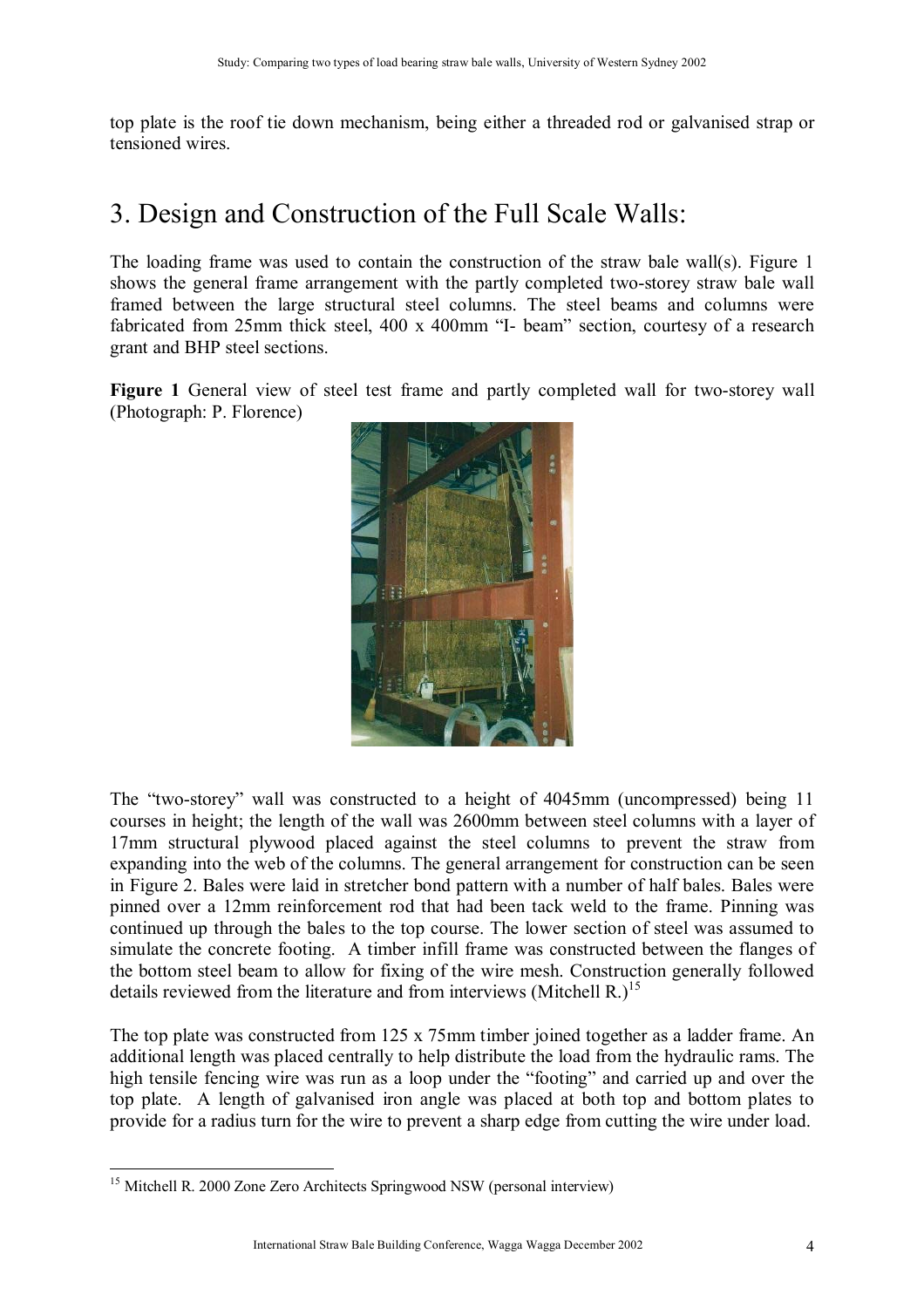top plate is the roof tie down mechanism, being either a threaded rod or galvanised strap or tensioned wires.

## 3. Design and Construction of the Full Scale Walls:

The loading frame was used to contain the construction of the straw bale wall(s). Figure 1 shows the general frame arrangement with the partly completed two-storey straw bale wall framed between the large structural steel columns. The steel beams and columns were fabricated from 25mm thick steel,  $400 \times 400$ mm "I- beam" section, courtesy of a research grant and BHP steel sections.

**Figure 1** General view of steel test frame and partly completed wall for two-storey wall (Photograph: P. Florence)



The "two-storey" wall was constructed to a height of 4045mm (uncompressed) being 11 courses in height; the length of the wall was 2600mm between steel columns with a layer of 17mm structural plywood placed against the steel columns to prevent the straw from expanding into the web of the columns. The general arrangement for construction can be seen in Figure 2. Bales were laid in stretcher bond pattern with a number of half bales. Bales were pinned over a 12mm reinforcement rod that had been tack weld to the frame. Pinning was continued up through the bales to the top course. The lower section of steel was assumed to simulate the concrete footing. A timber infill frame was constructed between the flanges of the bottom steel beam to allow for fixing of the wire mesh. Construction generally followed details reviewed from the literature and from interviews (Mitchell R.)<sup>15</sup>

The top plate was constructed from 125 x 75mm timber joined together as a ladder frame. An additional length was placed centrally to help distribute the load from the hydraulic rams. The high tensile fencing wire was run as a loop under the "footing" and carried up and over the top plate. A length of galvanised iron angle was placed at both top and bottom plates to provide for a radius turn for the wire to prevent a sharp edge from cutting the wire under load.

 $\overline{a}$ <sup>15</sup> Mitchell R. 2000 Zone Zero Architects Springwood NSW (personal interview)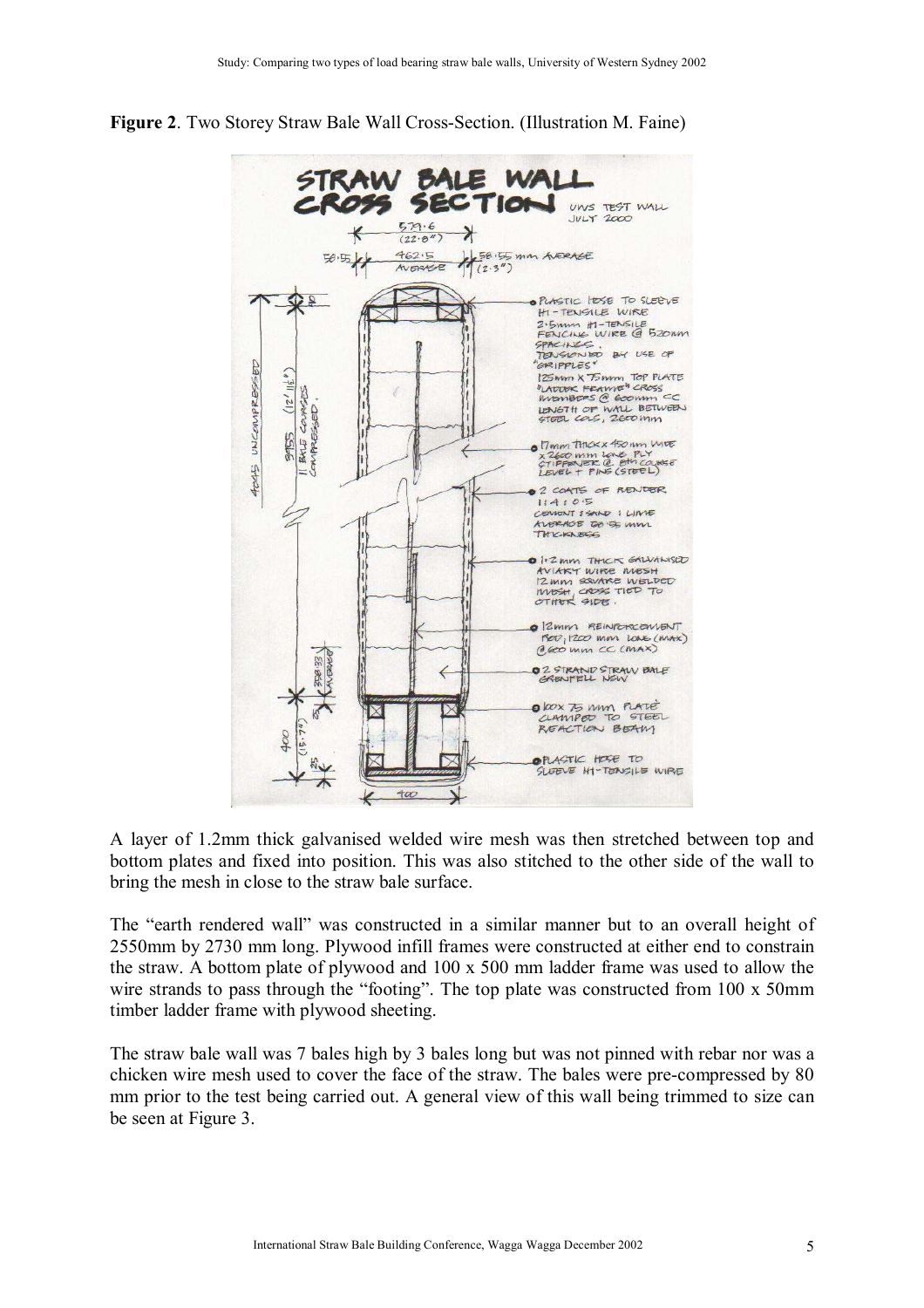**Figure 2**. Two Storey Straw Bale Wall Cross-Section. (Illustration M. Faine)



A layer of 1.2mm thick galvanised welded wire mesh was then stretched between top and bottom plates and fixed into position. This was also stitched to the other side of the wall to bring the mesh in close to the straw bale surface.

The "earth rendered wall" was constructed in a similar manner but to an overall height of 2550mm by 2730 mm long. Plywood infill frames were constructed at either end to constrain the straw. A bottom plate of plywood and 100 x 500 mm ladder frame was used to allow the wire strands to pass through the "footing". The top plate was constructed from  $100 \times 50$ mm timber ladder frame with plywood sheeting.

The straw bale wall was 7 bales high by 3 bales long but was not pinned with rebar nor was a chicken wire mesh used to cover the face of the straw. The bales were pre-compressed by 80 mm prior to the test being carried out. A general view of this wall being trimmed to size can be seen at Figure 3.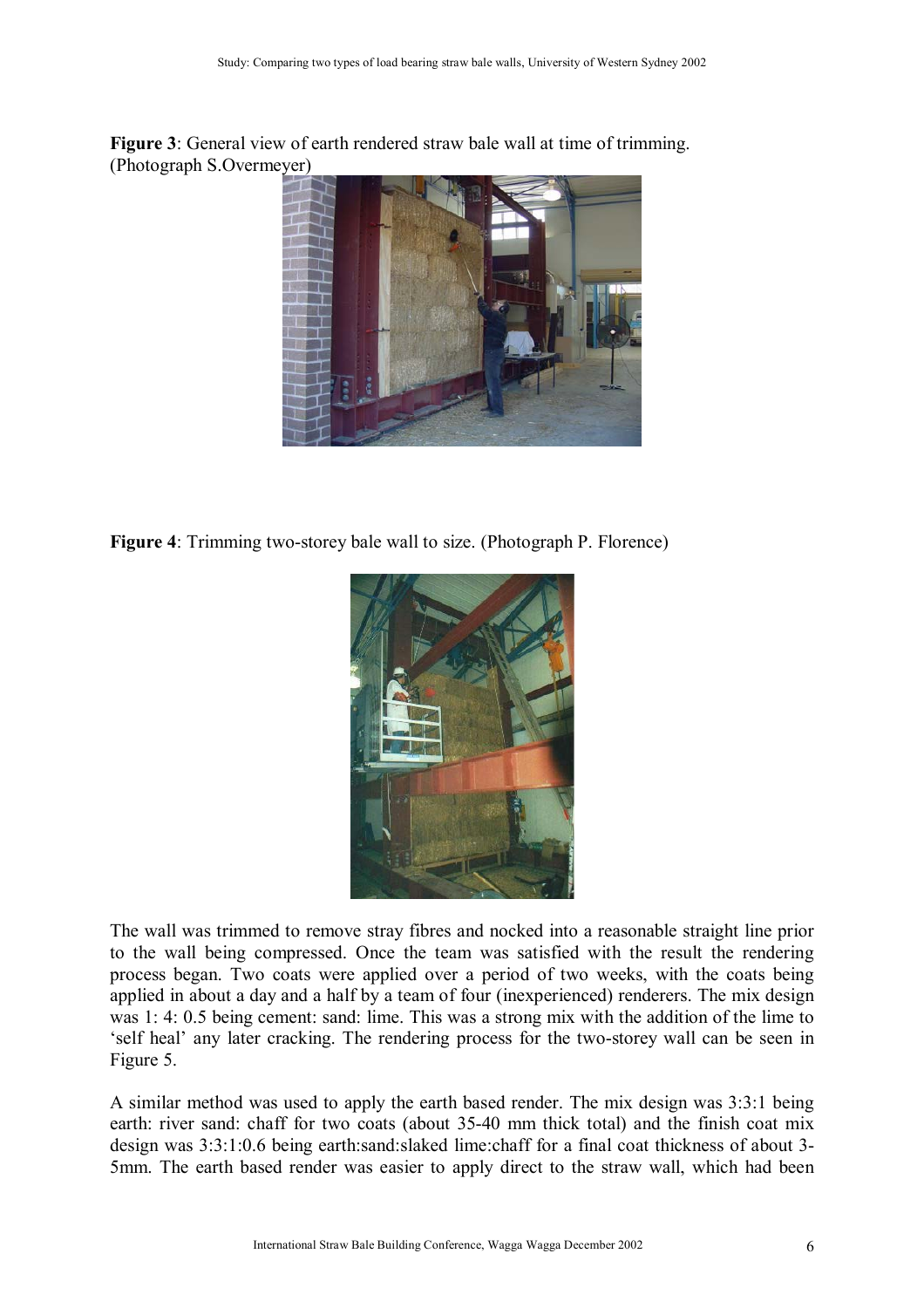**Figure 3**: General view of earth rendered straw bale wall at time of trimming. (Photograph S.Overmeyer)



**Figure 4**: Trimming two-storey bale wall to size. (Photograph P. Florence)



The wall was trimmed to remove stray fibres and nocked into a reasonable straight line prior to the wall being compressed. Once the team was satisfied with the result the rendering process began. Two coats were applied over a period of two weeks, with the coats being applied in about a day and a half by a team of four (inexperienced) renderers. The mix design was 1: 4: 0.5 being cement: sand: lime. This was a strong mix with the addition of the lime to 'self heal' any later cracking. The rendering process for the two-storey wall can be seen in Figure 5.

A similar method was used to apply the earth based render. The mix design was 3:3:1 being earth: river sand: chaff for two coats (about 35-40 mm thick total) and the finish coat mix design was 3:3:1:0.6 being earth:sand:slaked lime:chaff for a final coat thickness of about 3- 5mm. The earth based render was easier to apply direct to the straw wall, which had been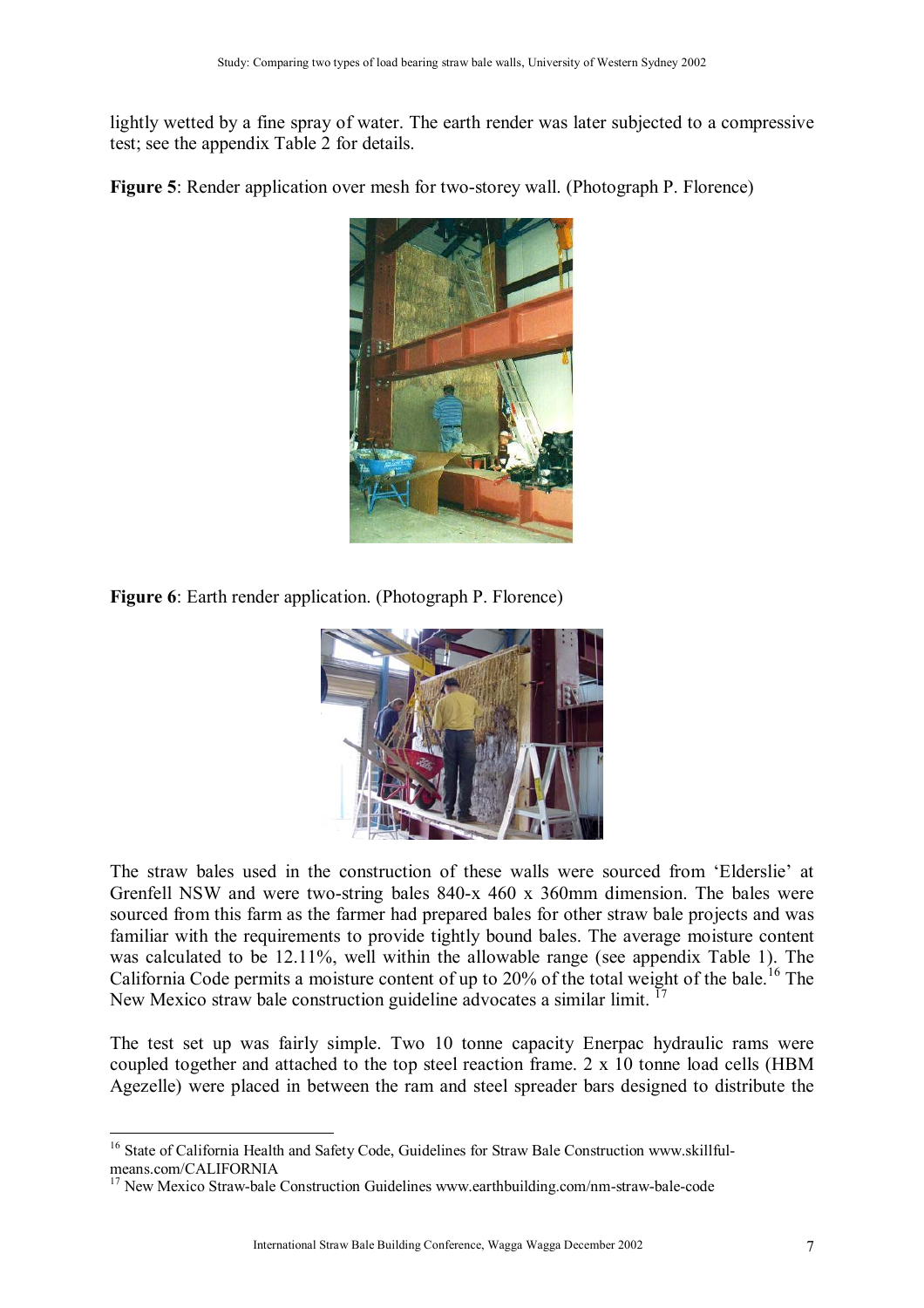lightly wetted by a fine spray of water. The earth render was later subjected to a compressive test; see the appendix Table 2 for details.

**Figure 5**: Render application over mesh for two-storey wall. (Photograph P. Florence)



**Figure 6**: Earth render application. (Photograph P. Florence)



The straw bales used in the construction of these walls were sourced from 'Elderslie' at Grenfell NSW and were two-string bales 840-x 460 x 360mm dimension. The bales were sourced from this farm as the farmer had prepared bales for other straw bale projects and was familiar with the requirements to provide tightly bound bales. The average moisture content was calculated to be 12.11%, well within the allowable range (see appendix Table 1). The California Code permits a moisture content of up to  $20\%$  of the total weight of the bale.<sup>16</sup> The New Mexico straw bale construction guideline advocates a similar limit.<sup>17</sup>

The test set up was fairly simple. Two 10 tonne capacity Enerpac hydraulic rams were coupled together and attached to the top steel reaction frame. 2 x 10 tonne load cells (HBM Agezelle) were placed in between the ram and steel spreader bars designed to distribute the

 $\overline{a}$ 

<sup>&</sup>lt;sup>16</sup> State of California Health and Safety Code, Guidelines for Straw Bale Construction www.skillfulmeans.com/CALIFORNIA

<sup>&</sup>lt;sup>17</sup> New Mexico Straw-bale Construction Guidelines www.earthbuilding.com/nm-straw-bale-code<sup>17</sup>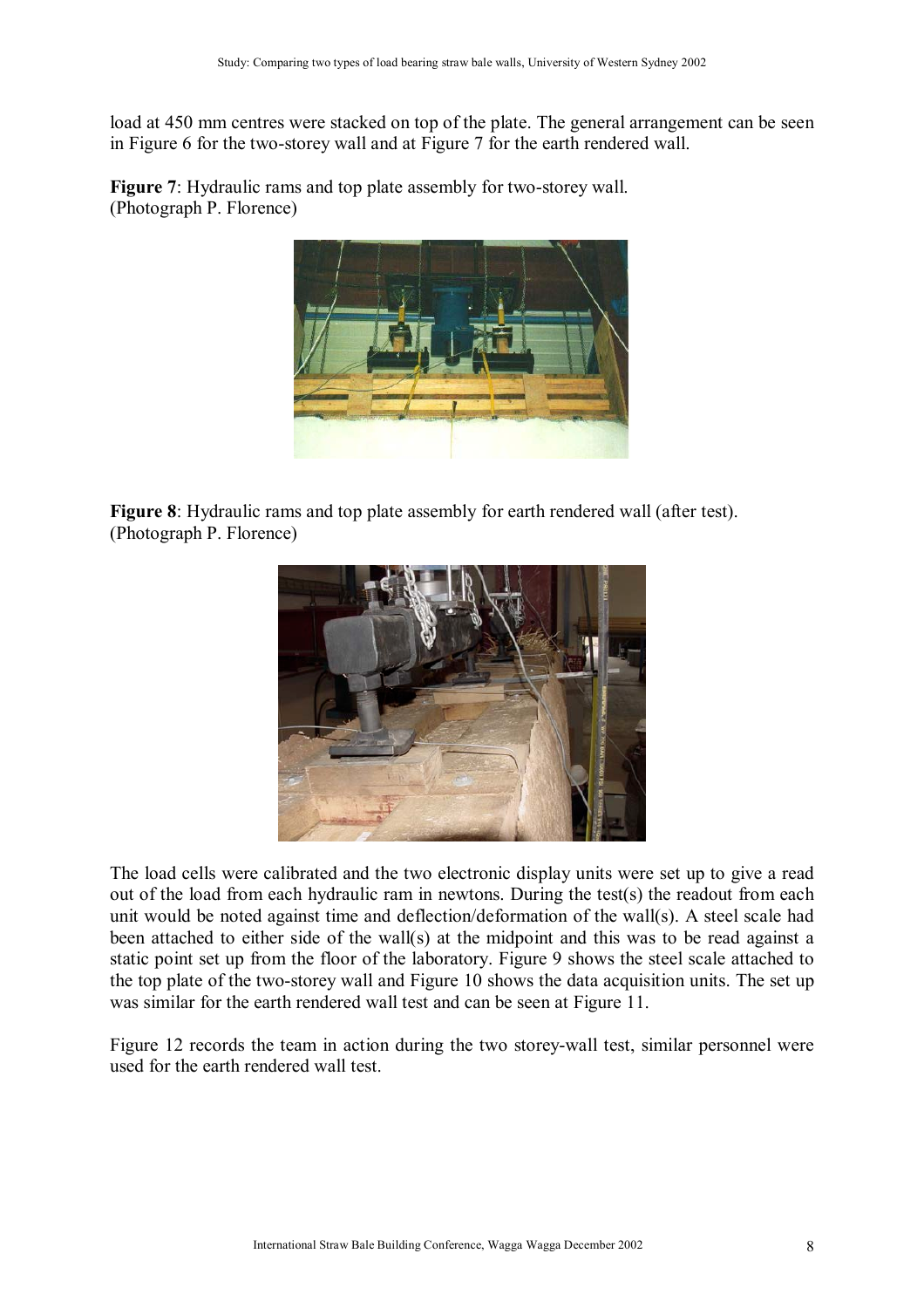load at 450 mm centres were stacked on top of the plate. The general arrangement can be seen in Figure 6 for the two-storey wall and at Figure 7 for the earth rendered wall.

**Figure 7**: Hydraulic rams and top plate assembly for two-storey wall. (Photograph P. Florence)



**Figure 8**: Hydraulic rams and top plate assembly for earth rendered wall (after test). (Photograph P. Florence)



The load cells were calibrated and the two electronic display units were set up to give a read out of the load from each hydraulic ram in newtons. During the test(s) the readout from each unit would be noted against time and deflection/deformation of the wall(s). A steel scale had been attached to either side of the wall(s) at the midpoint and this was to be read against a static point set up from the floor of the laboratory. Figure 9 shows the steel scale attached to the top plate of the two-storey wall and Figure 10 shows the data acquisition units. The set up was similar for the earth rendered wall test and can be seen at Figure 11.

Figure 12 records the team in action during the two storey-wall test, similar personnel were used for the earth rendered wall test.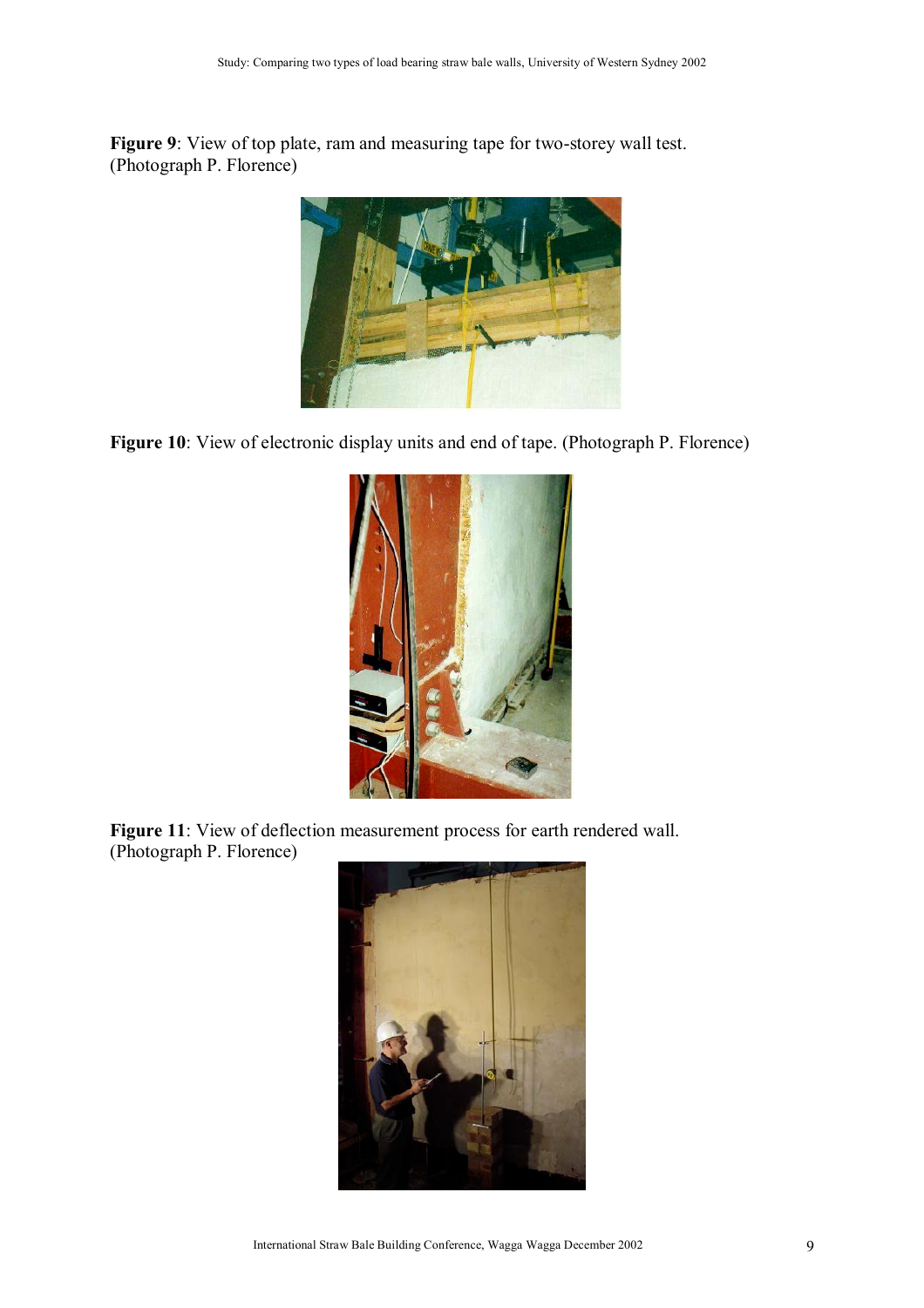**Figure 9**: View of top plate, ram and measuring tape for two-storey wall test. (Photograph P. Florence)



**Figure 10**: View of electronic display units and end of tape. (Photograph P. Florence)



Figure 11: View of deflection measurement process for earth rendered wall. (Photograph P. Florence)

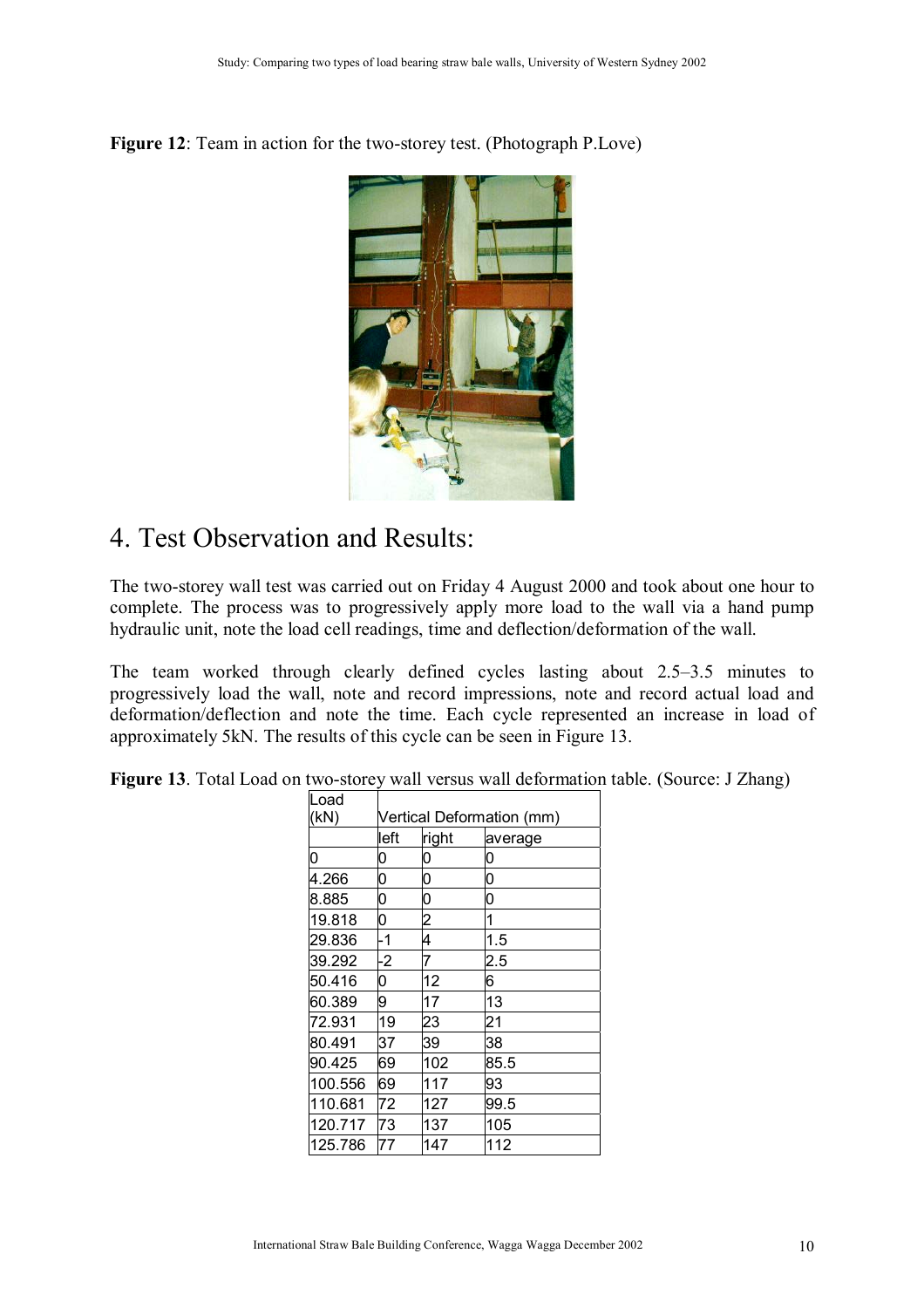**Figure 12**: Team in action for the two-storey test. (Photograph P.Love)



### 4. Test Observation and Results:

The two-storey wall test was carried out on Friday 4 August 2000 and took about one hour to complete. The process was to progressively apply more load to the wall via a hand pump hydraulic unit, note the load cell readings, time and deflection/deformation of the wall.

The team worked through clearly defined cycles lasting about  $2.5-3.5$  minutes to progressively load the wall, note and record impressions, note and record actual load and deformation/deflection and note the time. Each cycle represented an increase in load of approximately 5kN. The results of this cycle can be seen in Figure 13.

| Load    |                           |                |         |  |  |
|---------|---------------------------|----------------|---------|--|--|
| (kN)    | Vertical Deformation (mm) |                |         |  |  |
|         | left                      | right          | average |  |  |
| 0       | 0                         | 0              | 0       |  |  |
| 4.266   | 0                         | 0              | 0       |  |  |
| 8.885   | 0                         | 0              | 0       |  |  |
| 19.818  | 0                         | $\overline{c}$ | 1       |  |  |
| 29.836  | -1                        | 4              | 1.5     |  |  |
| 39.292  | $\overline{2}$            | 7              | 2.5     |  |  |
| 50.416  | 0                         | 12             | 6       |  |  |
| 60.389  | 9                         | 17             | 13      |  |  |
| 72.931  | 19                        | 23             | 21      |  |  |
| 80.491  | 37                        | 39             | 38      |  |  |
| 90.425  | 69                        | 102            | 85.5    |  |  |
| 100.556 | 69                        | 117            | 93      |  |  |
| 110.681 | 72                        | 127            | 99.5    |  |  |
| 120.717 | 73                        | 137            | 105     |  |  |
| 125.786 | 77                        | 147            | 112     |  |  |

**Figure 13**. Total Load on two-storey wall versus wall deformation table. (Source: J Zhang)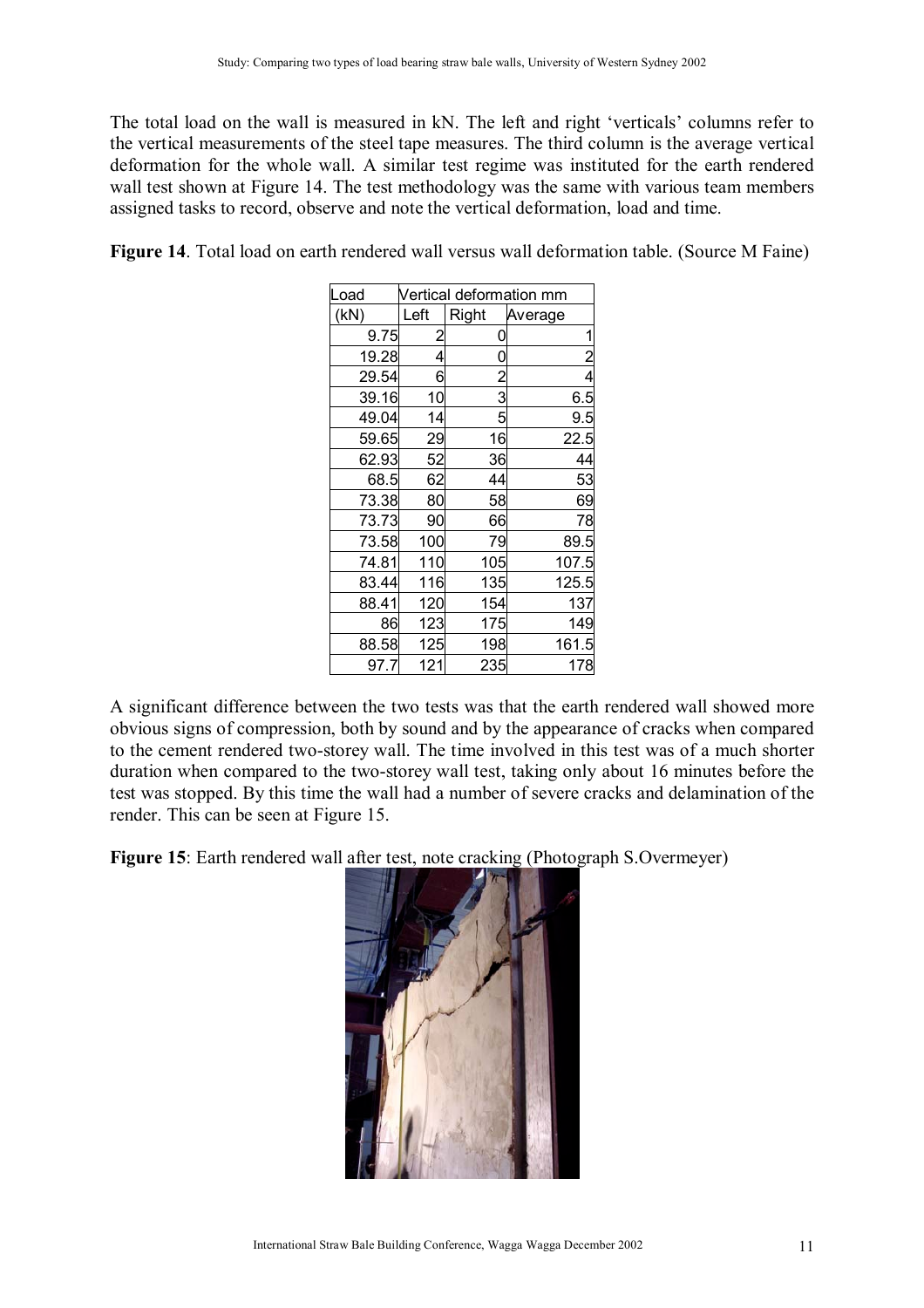The total load on the wall is measured in kN. The left and right 'verticals' columns refer to the vertical measurements of the steel tape measures. The third column is the average vertical deformation for the whole wall. A similar test regime was instituted for the earth rendered wall test shown at Figure 14. The test methodology was the same with various team members assigned tasks to record, observe and note the vertical deformation, load and time.

Figure 14. Total load on earth rendered wall versus wall deformation table. (Source M Faine)

| Load  |      | Vertical deformation mm |                |  |  |
|-------|------|-------------------------|----------------|--|--|
| (kN)  | Left | Right                   | Average        |  |  |
| 9.75  | 2    |                         | 1              |  |  |
| 19.28 | 4    | 0                       | $\overline{c}$ |  |  |
| 29.54 | 6    | $\overline{2}$          | 4              |  |  |
| 39.16 | 10   | 3                       | 6.5            |  |  |
| 49.04 | 14   | 5                       | 9.5            |  |  |
| 59.65 | 29   | 16                      | 22.5           |  |  |
| 62.93 | 52   | 36                      | 44             |  |  |
| 68.5  | 62   | 44                      | 53             |  |  |
| 73.38 | 80   | 58                      | 69             |  |  |
| 73.73 | 90   | 66                      | 78             |  |  |
| 73.58 | 100  | 79                      | 89.5           |  |  |
| 74.81 | 110  | 105                     | 107.5          |  |  |
| 83.44 | 116  | 135                     | 125.5          |  |  |
| 88.41 | 120  | 154                     | 137            |  |  |
| 86    | 123  | 175                     | 149            |  |  |
| 88.58 | 125  | 198                     | 161.5          |  |  |
| 97.7  | 121  | 235                     | 178            |  |  |

A significant difference between the two tests was that the earth rendered wall showed more obvious signs of compression, both by sound and by the appearance of cracks when compared to the cement rendered two-storey wall. The time involved in this test was of a much shorter duration when compared to the two-storey wall test, taking only about 16 minutes before the test was stopped. By this time the wall had a number of severe cracks and delamination of the render. This can be seen at Figure 15.

**Figure 15**: Earth rendered wall after test, note cracking (Photograph S.Overmeyer)

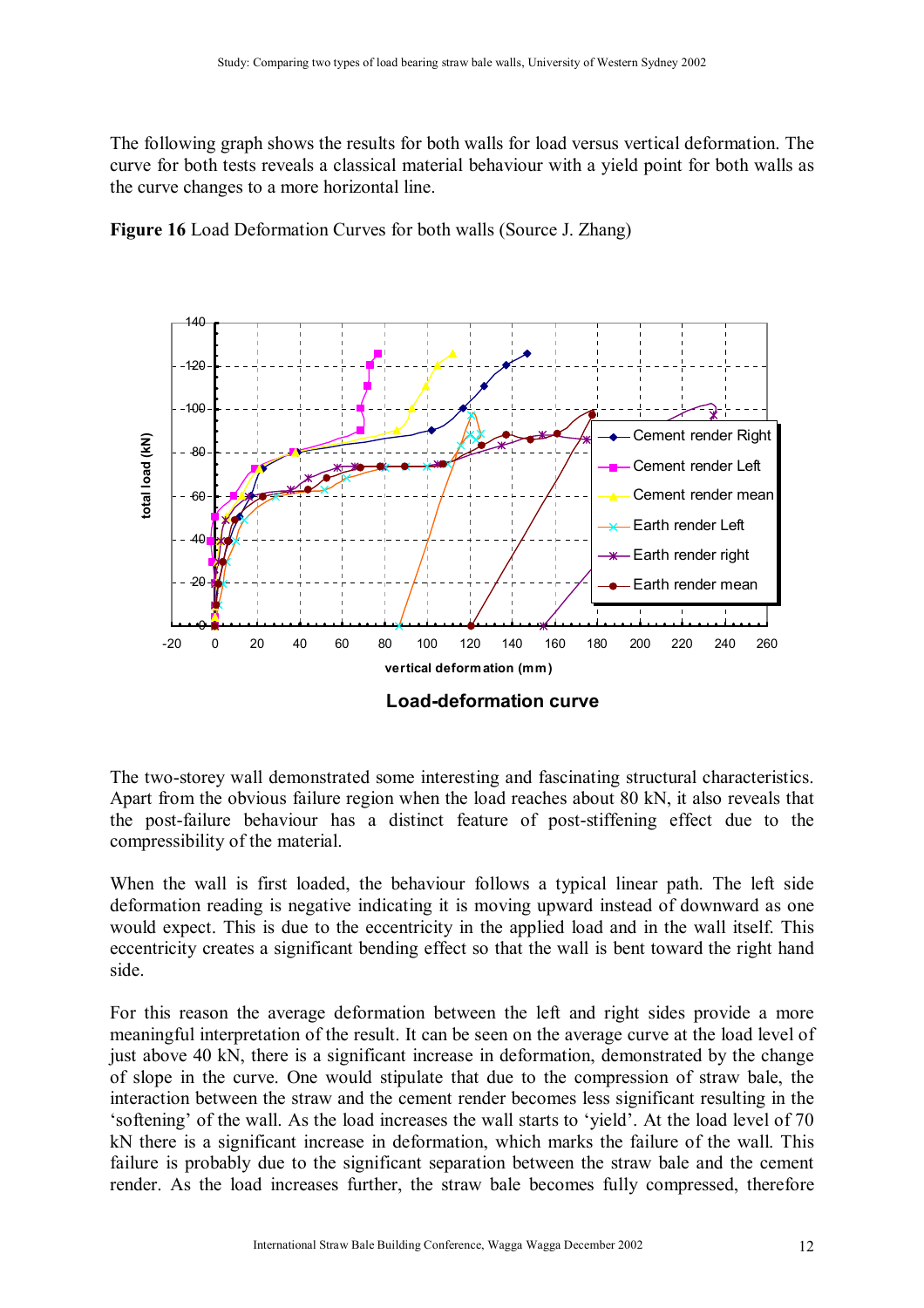The following graph shows the results for both walls for load versus vertical deformation. The curve for both tests reveals a classical material behaviour with a yield point for both walls as the curve changes to a more horizontal line.





**Load-deformation curve**

The two-storey wall demonstrated some interesting and fascinating structural characteristics. Apart from the obvious failure region when the load reaches about 80 kN, it also reveals that the post-failure behaviour has a distinct feature of post-stiffening effect due to the compressibility of the material.

When the wall is first loaded, the behaviour follows a typical linear path. The left side deformation reading is negative indicating it is moving upward instead of downward as one would expect. This is due to the eccentricity in the applied load and in the wall itself. This eccentricity creates a significant bending effect so that the wall is bent toward the right hand side.

For this reason the average deformation between the left and right sides provide a more meaningful interpretation of the result. It can be seen on the average curve at the load level of just above 40 kN, there is a significant increase in deformation, demonstrated by the change of slope in the curve. One would stipulate that due to the compression of straw bale, the interaction between the straw and the cement render becomes less significant resulting in the 'softening' of the wall. As the load increases the wall starts to 'vield'. At the load level of 70 kN there is a significant increase in deformation, which marks the failure of the wall. This failure is probably due to the significant separation between the straw bale and the cement render. As the load increases further, the straw bale becomes fully compressed, therefore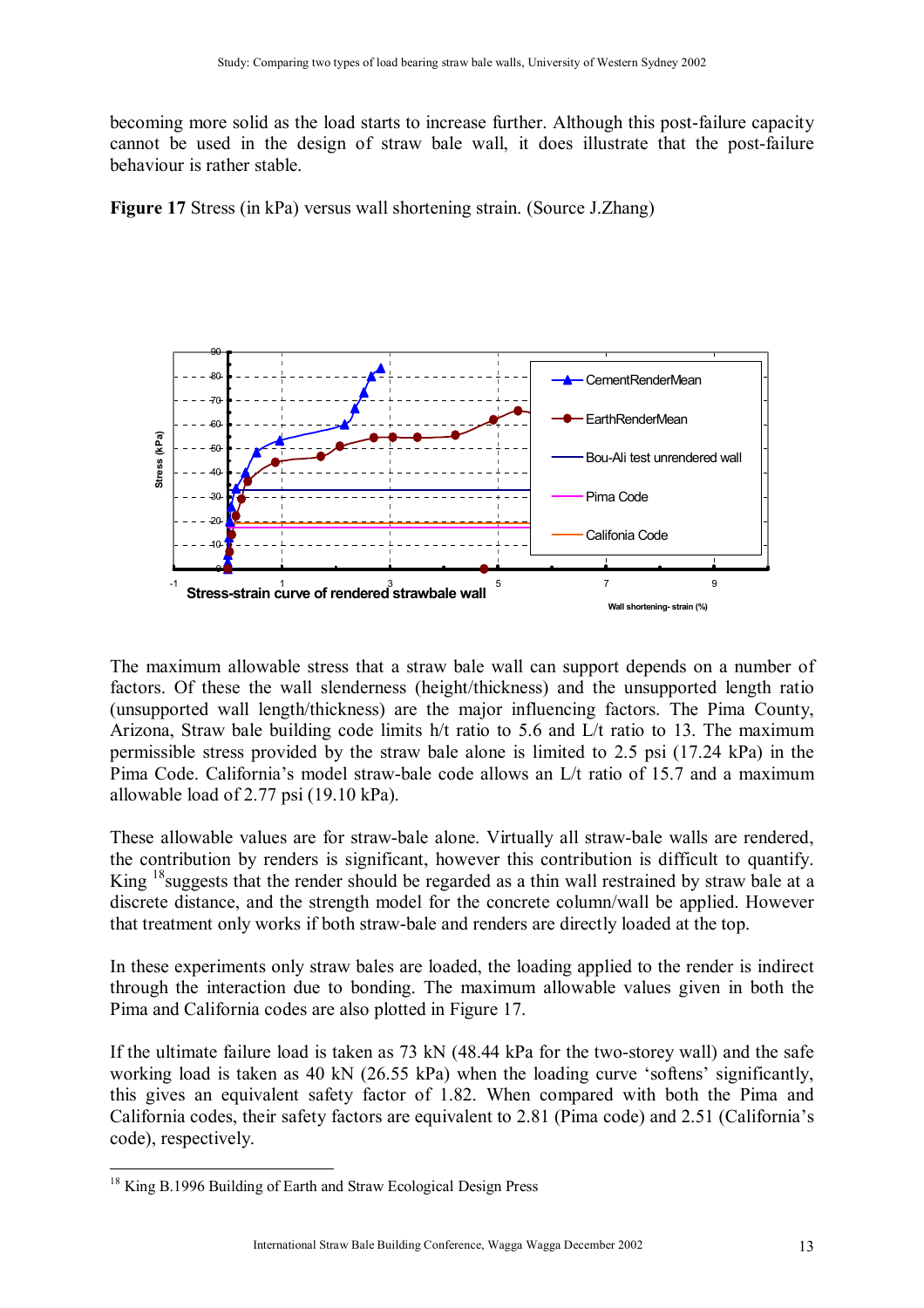becoming more solid as the load starts to increase further. Although this post-failure capacity cannot be used in the design of straw bale wall, it does illustrate that the post-failure behaviour is rather stable.

**Figure 17** Stress (in kPa) versus wall shortening strain. (Source J.Zhang)



The maximum allowable stress that a straw bale wall can support depends on a number of factors. Of these the wall slenderness (height/thickness) and the unsupported length ratio (unsupported wall length/thickness) are the major influencing factors. The Pima County, Arizona, Straw bale building code limits h/t ratio to 5.6 and L/t ratio to 13. The maximum permissible stress provided by the straw bale alone is limited to 2.5 psi (17.24 kPa) in the Pima Code. California's model straw-bale code allows an L/t ratio of 15.7 and a maximum allowable load of 2.77 psi (19.10 kPa).

These allowable values are for straw-bale alone. Virtually all straw-bale walls are rendered, the contribution by renders is significant, however this contribution is difficult to quantify. King <sup>18</sup> suggests that the render should be regarded as a thin wall restrained by straw bale at a discrete distance, and the strength model for the concrete column/wall be applied. However that treatment only works if both straw-bale and renders are directly loaded at the top.

In these experiments only straw bales are loaded, the loading applied to the render is indirect through the interaction due to bonding. The maximum allowable values given in both the Pima and California codes are also plotted in Figure 17.

If the ultimate failure load is taken as 73 kN (48.44 kPa for the two-storey wall) and the safe working load is taken as 40 kN  $(26.55 \text{ kPa})$  when the loading curve 'softens' significantly, this gives an equivalent safety factor of 1.82. When compared with both the Pima and California codes, their safety factors are equivalent to 2.81 (Pima code) and 2.51 (Californiaís code), respectively.

 $\overline{a}$ <sup>18</sup> King B.1996 Building of Earth and Straw Ecological Design Press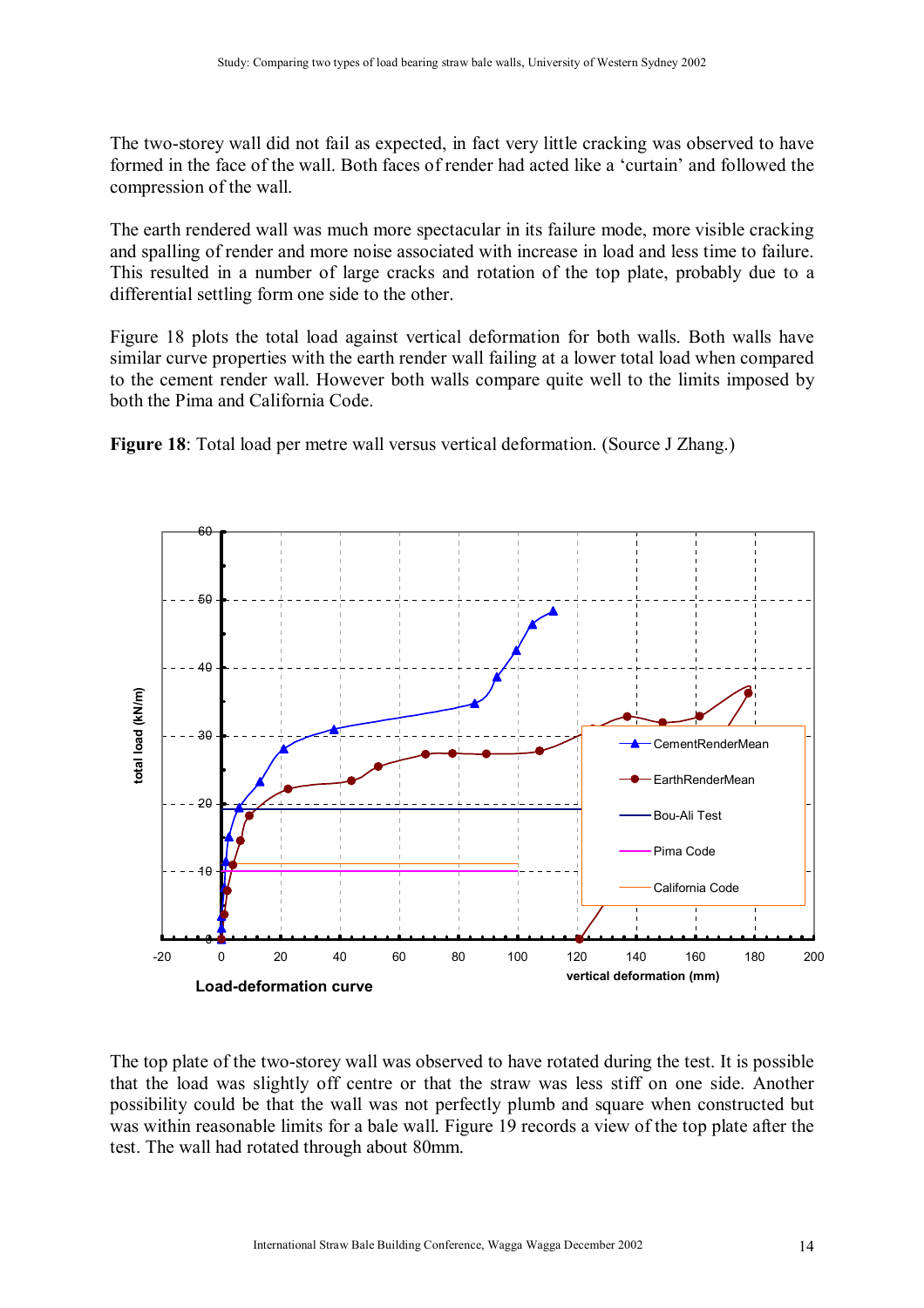The two-storey wall did not fail as expected, in fact very little cracking was observed to have formed in the face of the wall. Both faces of render had acted like a 'curtain' and followed the compression of the wall.

The earth rendered wall was much more spectacular in its failure mode, more visible cracking and spalling of render and more noise associated with increase in load and less time to failure. This resulted in a number of large cracks and rotation of the top plate, probably due to a differential settling form one side to the other.

Figure 18 plots the total load against vertical deformation for both walls. Both walls have similar curve properties with the earth render wall failing at a lower total load when compared to the cement render wall. However both walls compare quite well to the limits imposed by both the Pima and California Code.

**Figure 18**: Total load per metre wall versus vertical deformation. (Source J Zhang.)



The top plate of the two-storey wall was observed to have rotated during the test. It is possible that the load was slightly off centre or that the straw was less stiff on one side. Another possibility could be that the wall was not perfectly plumb and square when constructed but was within reasonable limits for a bale wall. Figure 19 records a view of the top plate after the test. The wall had rotated through about 80mm.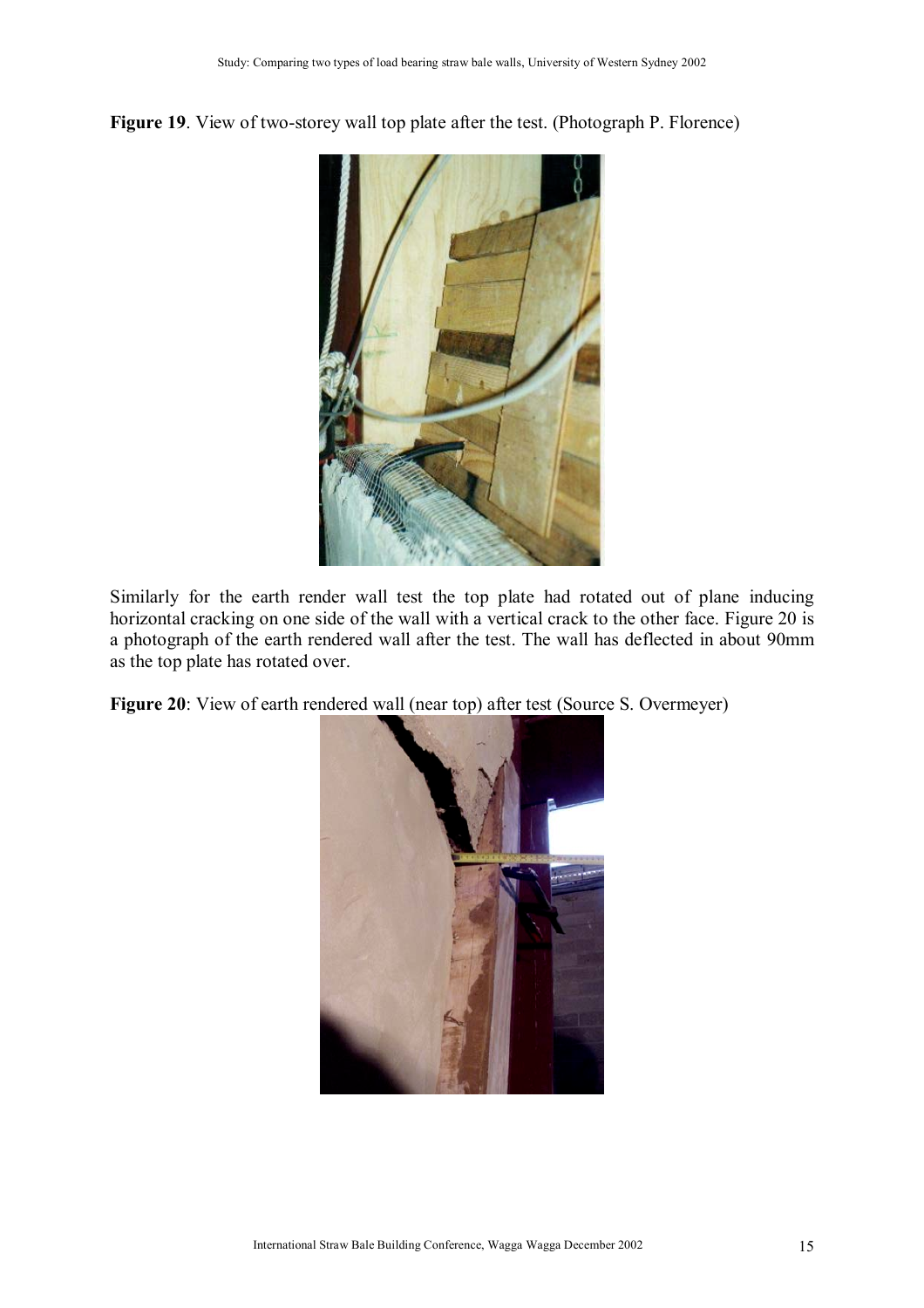**Figure 19**. View of two-storey wall top plate after the test. (Photograph P. Florence)



Similarly for the earth render wall test the top plate had rotated out of plane inducing horizontal cracking on one side of the wall with a vertical crack to the other face. Figure 20 is a photograph of the earth rendered wall after the test. The wall has deflected in about 90mm as the top plate has rotated over.

**Figure 20**: View of earth rendered wall (near top) after test (Source S. Overmeyer)

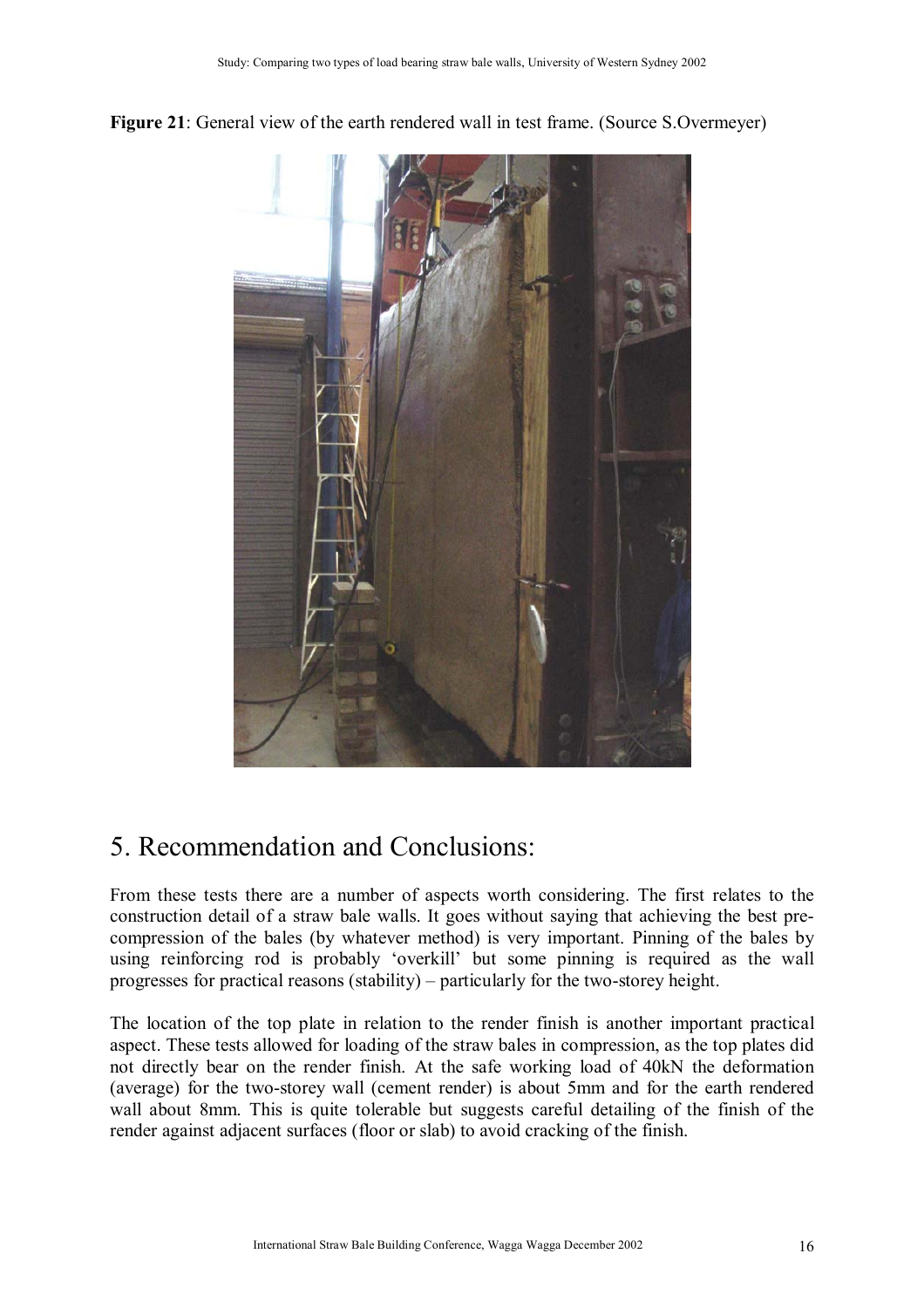



## 5. Recommendation and Conclusions:

From these tests there are a number of aspects worth considering. The first relates to the construction detail of a straw bale walls. It goes without saying that achieving the best precompression of the bales (by whatever method) is very important. Pinning of the bales by using reinforcing rod is probably 'overkill' but some pinning is required as the wall progresses for practical reasons (stability) – particularly for the two-storey height.

The location of the top plate in relation to the render finish is another important practical aspect. These tests allowed for loading of the straw bales in compression, as the top plates did not directly bear on the render finish. At the safe working load of 40kN the deformation (average) for the two-storey wall (cement render) is about 5mm and for the earth rendered wall about 8mm. This is quite tolerable but suggests careful detailing of the finish of the render against adjacent surfaces (floor or slab) to avoid cracking of the finish.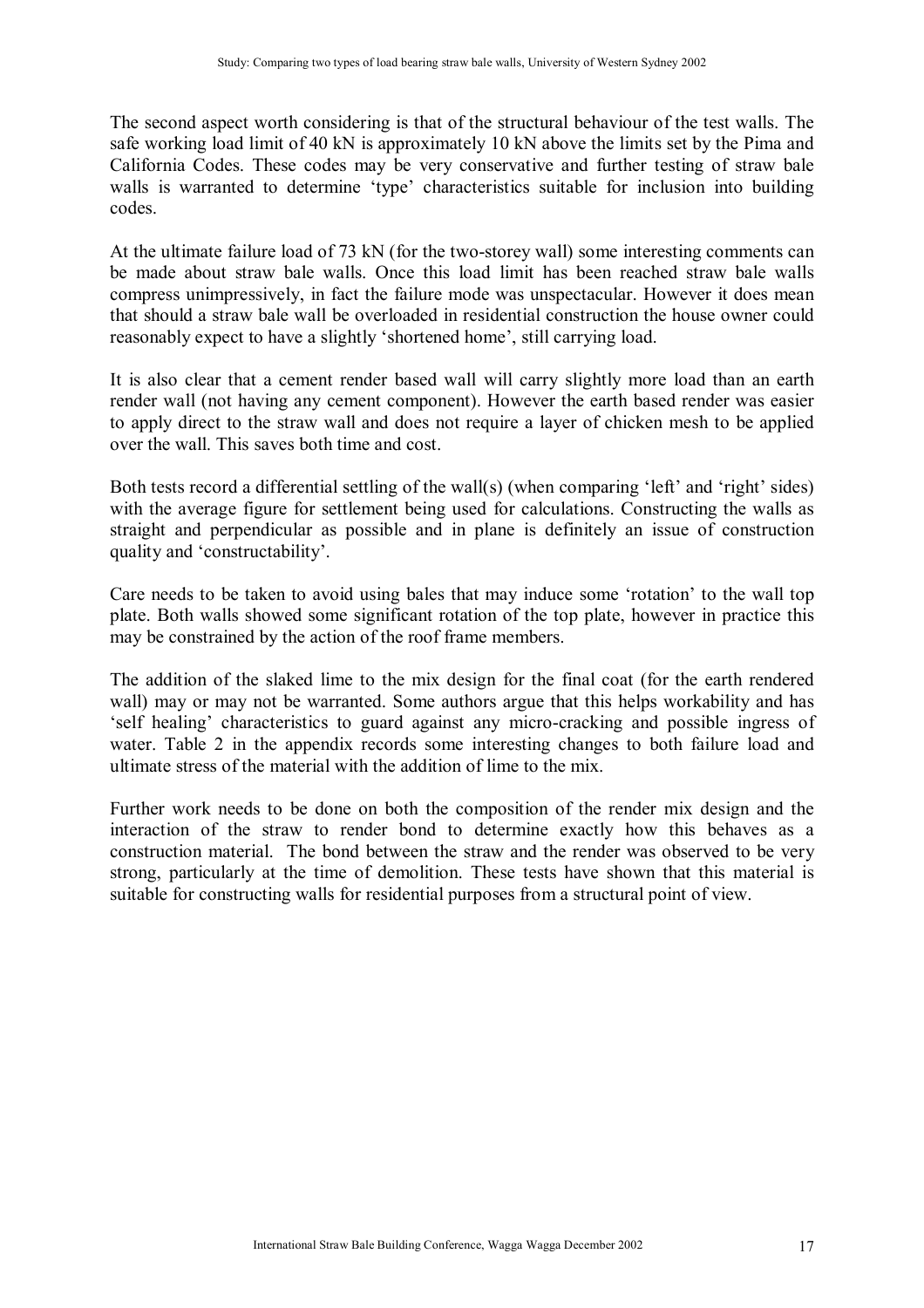The second aspect worth considering is that of the structural behaviour of the test walls. The safe working load limit of 40 kN is approximately 10 kN above the limits set by the Pima and California Codes. These codes may be very conservative and further testing of straw bale walls is warranted to determine 'type' characteristics suitable for inclusion into building codes.

At the ultimate failure load of 73 kN (for the two-storey wall) some interesting comments can be made about straw bale walls. Once this load limit has been reached straw bale walls compress unimpressively, in fact the failure mode was unspectacular. However it does mean that should a straw bale wall be overloaded in residential construction the house owner could reasonably expect to have a slightly 'shortened home', still carrying load.

It is also clear that a cement render based wall will carry slightly more load than an earth render wall (not having any cement component). However the earth based render was easier to apply direct to the straw wall and does not require a layer of chicken mesh to be applied over the wall. This saves both time and cost.

Both tests record a differential settling of the wall(s) (when comparing 'left' and 'right' sides) with the average figure for settlement being used for calculations. Constructing the walls as straight and perpendicular as possible and in plane is definitely an issue of construction quality and 'constructability'.

Care needs to be taken to avoid using bales that may induce some 'rotation' to the wall top plate. Both walls showed some significant rotation of the top plate, however in practice this may be constrained by the action of the roof frame members.

The addition of the slaked lime to the mix design for the final coat (for the earth rendered wall) may or may not be warranted. Some authors argue that this helps workability and has 'self healing' characteristics to guard against any micro-cracking and possible ingress of water. Table 2 in the appendix records some interesting changes to both failure load and ultimate stress of the material with the addition of lime to the mix.

Further work needs to be done on both the composition of the render mix design and the interaction of the straw to render bond to determine exactly how this behaves as a construction material. The bond between the straw and the render was observed to be very strong, particularly at the time of demolition. These tests have shown that this material is suitable for constructing walls for residential purposes from a structural point of view.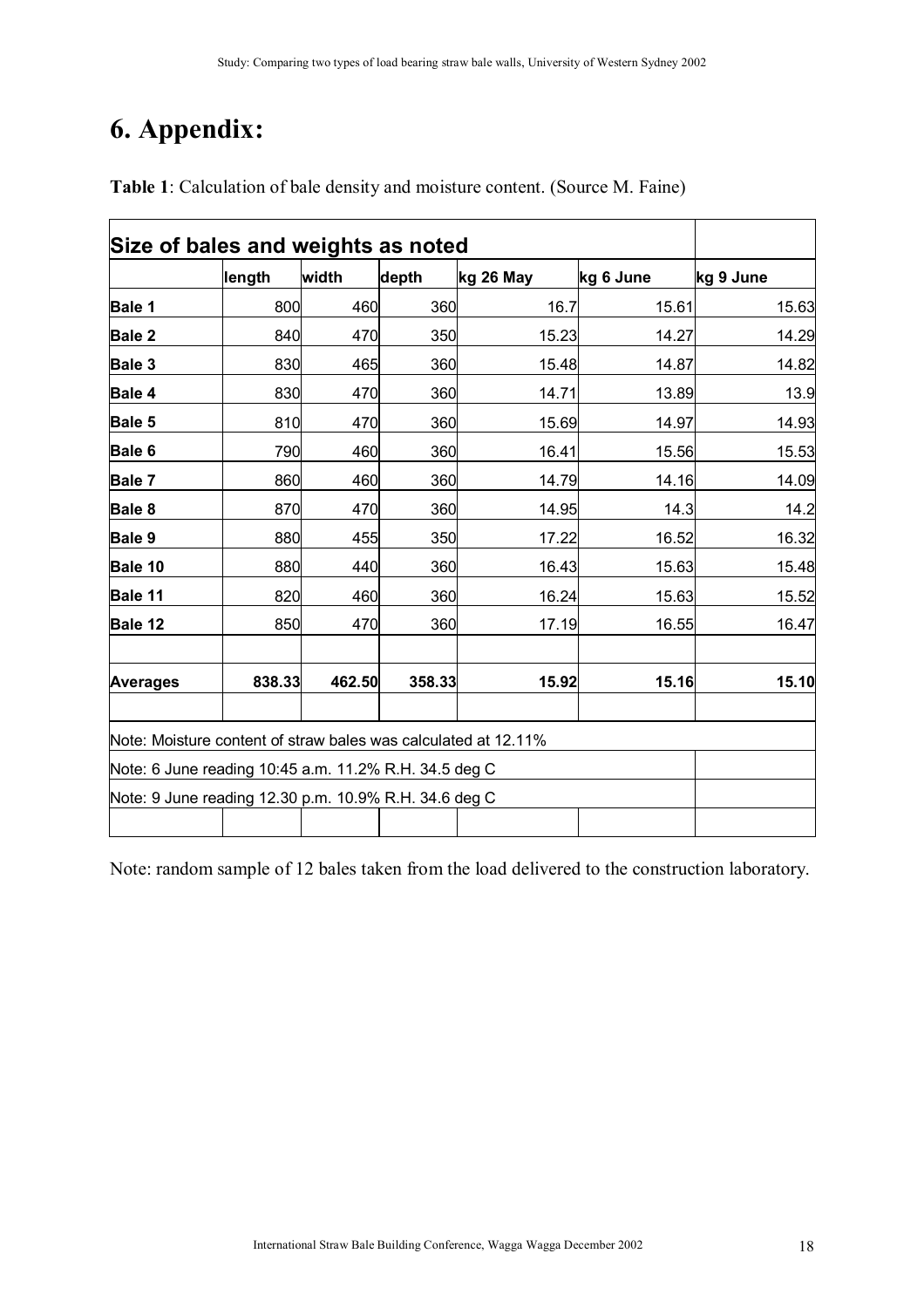# **6. Appendix:**

|                                                                | length | width  | depth  | kg 26 May | kg 6 June | kg 9 June |
|----------------------------------------------------------------|--------|--------|--------|-----------|-----------|-----------|
| <b>Bale 1</b>                                                  | 800    | 460    | 360    | 16.7      | 15.61     | 15.63     |
| Bale 2                                                         | 840    | 470    | 350    | 15.23     | 14.27     | 14.29     |
| Bale 3                                                         | 830    | 465    | 360    | 15.48     | 14.87     | 14.82     |
| Bale 4                                                         | 830    | 470    | 360    | 14.71     | 13.89     | 13.9      |
| Bale 5                                                         | 810    | 470    | 360    | 15.69     | 14.97     | 14.93     |
| Bale 6                                                         | 790    | 460    | 360    | 16.41     | 15.56     | 15.53     |
| Bale 7                                                         | 860    | 460    | 360    | 14.79     | 14.16     | 14.09     |
| Bale 8                                                         | 870    | 470    | 360    | 14.95     | 14.3      | 14.2      |
| Bale 9                                                         | 880    | 455    | 350    | 17.22     | 16.52     | 16.32     |
| Bale 10                                                        | 880    | 440    | 360    | 16.43     | 15.63     | 15.48     |
| Bale 11                                                        | 820    | 460    | 360    | 16.24     | 15.63     | 15.52     |
| Bale 12                                                        | 850    | 470    | 360    | 17.19     | 16.55     | 16.47     |
| <b>Averages</b>                                                | 838.33 | 462.50 | 358.33 | 15.92     | 15.16     | 15.10     |
| Note: Moisture content of straw bales was calculated at 12.11% |        |        |        |           |           |           |
| Note: 6 June reading 10:45 a.m. 11.2% R.H. 34.5 deg C          |        |        |        |           |           |           |
| Note: 9 June reading 12.30 p.m. 10.9% R.H. 34.6 deg C          |        |        |        |           |           |           |
|                                                                |        |        |        |           |           |           |

**Table 1**: Calculation of bale density and moisture content. (Source M. Faine)

Note: random sample of 12 bales taken from the load delivered to the construction laboratory.